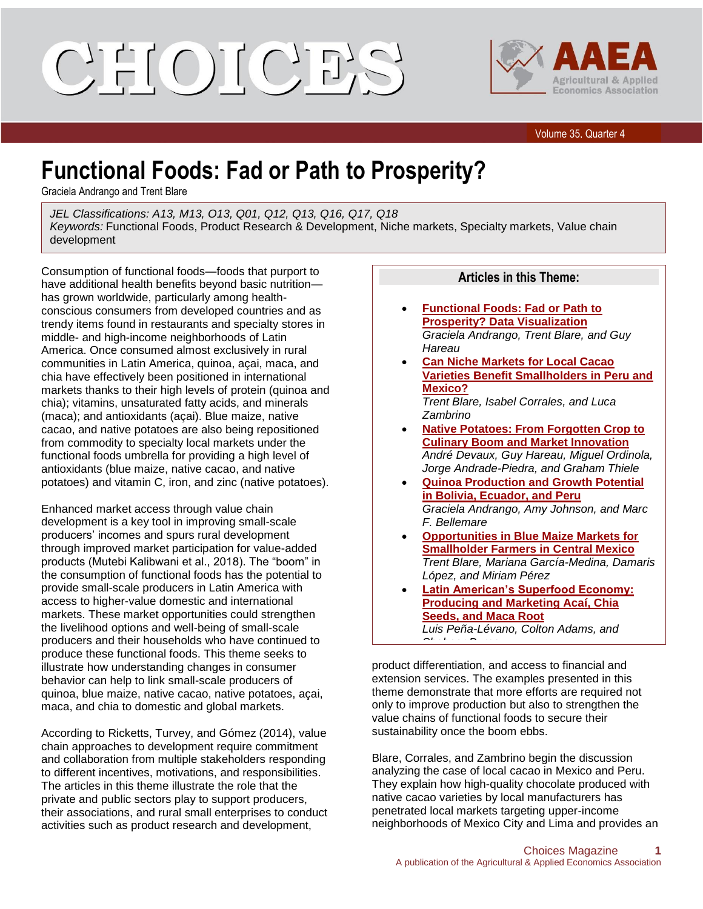## CHIOI(CHI)



Volume 35, Quarter 4

## **Functional Foods: Fad or Path to Prosperity?**

Graciela Andrango and Trent Blare

*JEL Classifications: A13, M13, O13, Q01, Q12, Q13, Q16, Q17, Q18 Keywords:* Functional Foods, Product Research & Development, Niche markets, Specialty markets, Value chain development

Consumption of functional foods—foods that purport to have additional health benefits beyond basic nutrition has grown worldwide, particularly among healthconscious consumers from developed countries and as trendy items found in restaurants and specialty stores in middle- and high-income neighborhoods of Latin America. Once consumed almost exclusively in rural communities in Latin America, quinoa, açai, maca, and chia have effectively been positioned in international markets thanks to their high levels of protein (quinoa and chia); vitamins, unsaturated fatty acids, and minerals (maca); and antioxidants (açai). Blue maize, native cacao, and native potatoes are also being repositioned from commodity to specialty local markets under the functional foods umbrella for providing a high level of antioxidants (blue maize, native cacao, and native potatoes) and vitamin C, iron, and zinc (native potatoes).

Enhanced market access through value chain development is a key tool in improving small-scale producers' incomes and spurs rural development through improved market participation for value-added products (Mutebi Kalibwani et al., 2018). The "boom" in the consumption of functional foods has the potential to provide small-scale producers in Latin America with access to higher-value domestic and international markets. These market opportunities could strengthen the livelihood options and well-being of small-scale producers and their households who have continued to produce these functional foods. This theme seeks to illustrate how understanding changes in consumer behavior can help to link small-scale producers of quinoa, blue maize, native cacao, native potatoes, açai, maca, and chia to domestic and global markets.

According to Ricketts, Turvey, and Gómez (2014), value chain approaches to development require commitment and collaboration from multiple stakeholders responding to different incentives, motivations, and responsibilities. The articles in this theme illustrate the role that the private and public sectors play to support producers, their associations, and rural small enterprises to conduct activities such as product research and development,

## **Articles in this Theme:**

- **Functional Foods: Fad or Path to Prosperity? Data Visualization** *Graciela Andrango, Trent Blare, and Guy Hareau*
- **Can Niche Markets for Local Cacao Varieties Benefit Smallholders in Peru and Mexico?** *Trent Blare, Isabel Corrales, and Luca Zambrino*
- **Native Potatoes: From Forgotten Crop to Culinary Boom and Market Innovation** *André Devaux, Guy Hareau, Miguel Ordinola, Jorge Andrade-Piedra, and Graham Thiele*
- **Quinoa Production and Growth Potential in Bolivia, Ecuador, and Peru** *Graciela Andrango, Amy Johnson, and Marc F. Bellemare*
- **Opportunities in Blue Maize Markets for Smallholder Farmers in Central Mexico** *Trent Blare, Mariana García-Medina, Damaris López, and Miriam Pérez*
- **Latin American's Superfood Economy: Producing and Marketing Acaí, Chia Seeds, and Maca Root** *Luis Peña-Lévano, Colton Adams, and*

product differentiation, and access to financial and extension services. The examples presented in this theme demonstrate that more efforts are required not only to improve production but also to strengthen the value chains of functional foods to secure their sustainability once the boom ebbs.

*Shaheer Burney*

Blare, Corrales, and Zambrino begin the discussion analyzing the case of local cacao in Mexico and Peru. They explain how high-quality chocolate produced with native cacao varieties by local manufacturers has penetrated local markets targeting upper-income neighborhoods of Mexico City and Lima and provides an